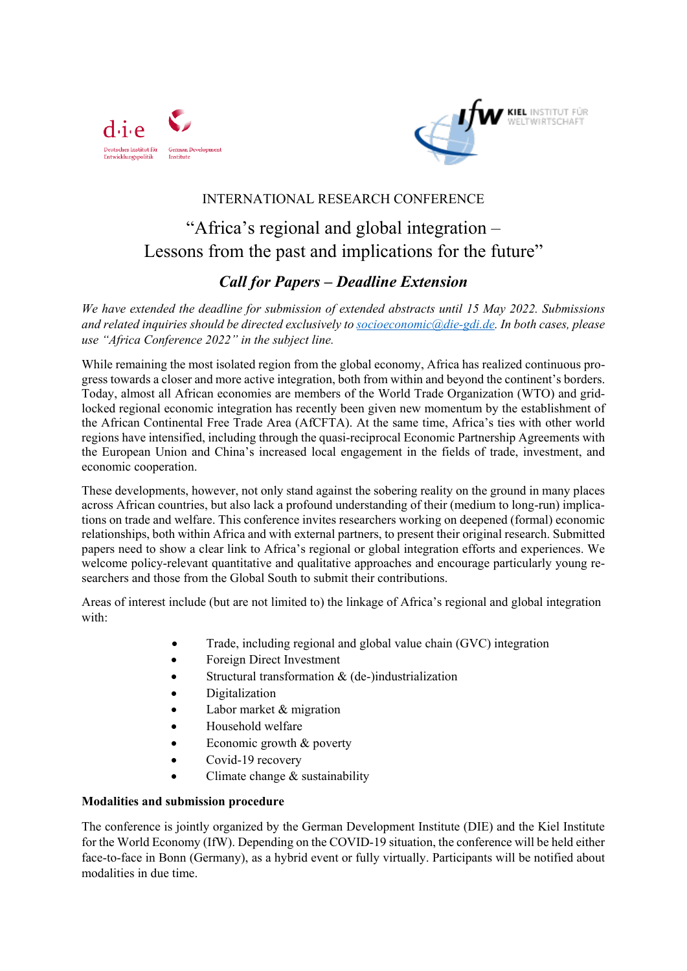



### INTERNATIONAL RESEARCH CONFERENCE

# "Africa's regional and global integration – Lessons from the past and implications for the future"

## *Call for Papers – Deadline Extension*

*We have extended the deadline for submission of extended abstracts until 15 May 2022. Submissions and related inquiries should be directed exclusively to [socioeconomic@die-gdi.de.](mailto:socioeconomic@die-gdi.de) In both cases, please use "Africa Conference 2022" in the subject line.*

While remaining the most isolated region from the global economy, Africa has realized continuous progress towards a closer and more active integration, both from within and beyond the continent's borders. Today, almost all African economies are members of the World Trade Organization (WTO) and gridlocked regional economic integration has recently been given new momentum by the establishment of the African Continental Free Trade Area (AfCFTA). At the same time, Africa's ties with other world regions have intensified, including through the quasi-reciprocal Economic Partnership Agreements with the European Union and China's increased local engagement in the fields of trade, investment, and economic cooperation.

These developments, however, not only stand against the sobering reality on the ground in many places across African countries, but also lack a profound understanding of their (medium to long-run) implications on trade and welfare. This conference invites researchers working on deepened (formal) economic relationships, both within Africa and with external partners, to present their original research. Submitted papers need to show a clear link to Africa's regional or global integration efforts and experiences. We welcome policy-relevant quantitative and qualitative approaches and encourage particularly young researchers and those from the Global South to submit their contributions.

Areas of interest include (but are not limited to) the linkage of Africa's regional and global integration with:

- Trade, including regional and global value chain (GVC) integration
- Foreign Direct Investment
- Structural transformation & (de-)industrialization
- **Digitalization**
- Labor market  $&$  migration
- Household welfare
- Economic growth & poverty
- Covid-19 recovery
- Climate change  $&$  sustainability

#### **Modalities and submission procedure**

The conference is jointly organized by the German Development Institute (DIE) and the Kiel Institute for the World Economy (IfW). Depending on the COVID-19 situation, the conference will be held either face-to-face in Bonn (Germany), as a hybrid event or fully virtually. Participants will be notified about modalities in due time.